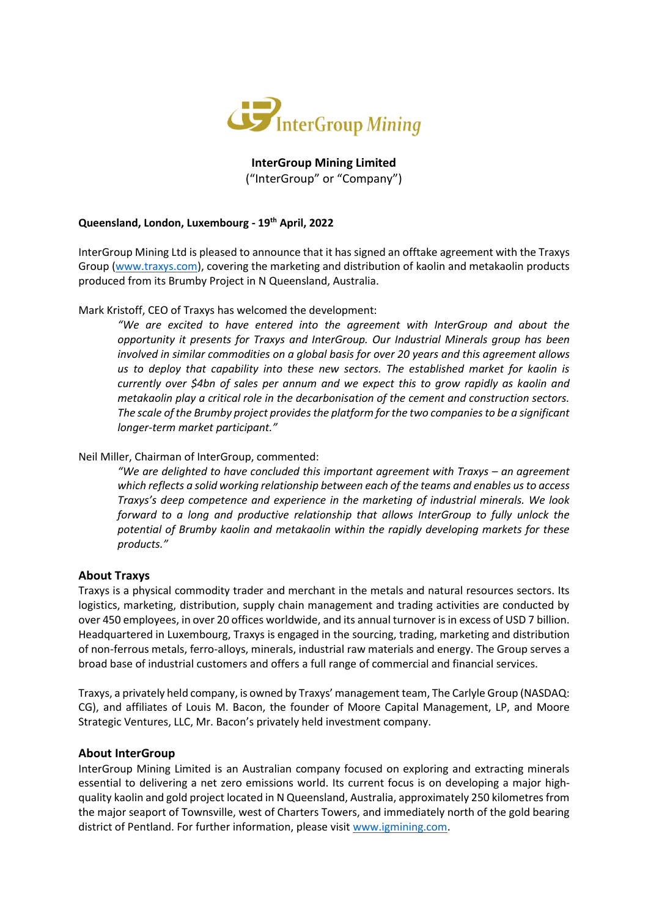

**InterGroup Mining Limited** ("InterGroup" or "Company")

## **Queensland, London, Luxembourg - 19th April, 2022**

InterGroup Mining Ltd is pleased to announce that it has signed an offtake agreement with the Traxys Group [\(www.traxys.com\)](http://www.traxys.com/), covering the marketing and distribution of kaolin and metakaolin products produced from its Brumby Project in N Queensland, Australia.

Mark Kristoff, CEO of Traxys has welcomed the development:

*"We are excited to have entered into the agreement with InterGroup and about the opportunity it presents for Traxys and InterGroup. Our Industrial Minerals group has been involved in similar commodities on a global basis for over 20 years and this agreement allows us to deploy that capability into these new sectors. The established market for kaolin is currently over \$4bn of sales per annum and we expect this to grow rapidly as kaolin and metakaolin play a critical role in the decarbonisation of the cement and construction sectors. The scale of the Brumby project provides the platform for the two companies to be a significant longer-term market participant."*

Neil Miller, Chairman of InterGroup, commented:

*"We are delighted to have concluded this important agreement with Traxys – an agreement which reflects a solid working relationship between each of the teams and enables us to access Traxys's deep competence and experience in the marketing of industrial minerals. We look forward to a long and productive relationship that allows InterGroup to fully unlock the potential of Brumby kaolin and metakaolin within the rapidly developing markets for these products."*

# **About Traxys**

Traxys is a physical commodity trader and merchant in the metals and natural resources sectors. Its logistics, marketing, distribution, supply chain management and trading activities are conducted by over 450 employees, in over 20 offices worldwide, and its annual turnover is in excess of USD 7 billion. Headquartered in Luxembourg, Traxys is engaged in the sourcing, trading, marketing and distribution of non-ferrous metals, ferro-alloys, minerals, industrial raw materials and energy. The Group serves a broad base of industrial customers and offers a full range of commercial and financial services.

Traxys, a privately held company, is owned by Traxys' management team, The Carlyle Group (NASDAQ: CG), and affiliates of Louis M. Bacon, the founder of Moore Capital Management, LP, and Moore Strategic Ventures, LLC, Mr. Bacon's privately held investment company.

### **About InterGroup**

InterGroup Mining Limited is an Australian company focused on exploring and extracting minerals essential to delivering a net zero emissions world. Its current focus is on developing a major highquality kaolin and gold project located in N Queensland, Australia, approximately 250 kilometres from the major seaport of Townsville, west of Charters Towers, and immediately north of the gold bearing district of Pentland. For further information, please visit [www.igmining.com.](http://www.igmining.com/)